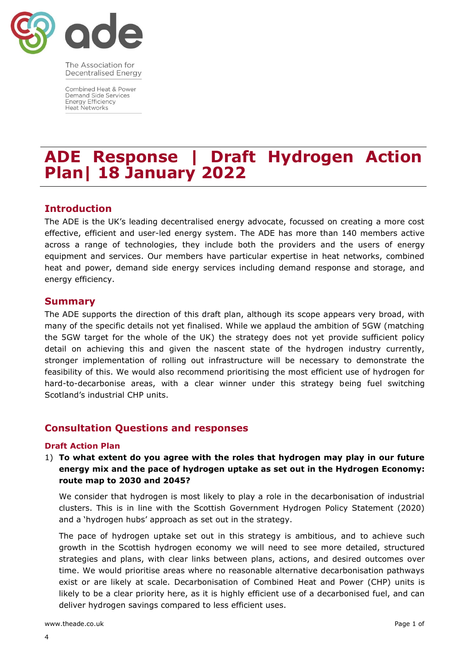

The Association for **Decentralised Energy** 

Combined Heat & Power Demand Side Services **Energy Efficiency Heat Networks** 

# **ADE Response | Draft Hydrogen Action Plan| 18 January 2022**

## **Introduction**

The ADE is the UK's leading decentralised energy advocate, focussed on creating a more cost effective, efficient and user-led energy system. The ADE has more than 140 members active across a range of technologies, they include both the providers and the users of energy equipment and services. Our members have particular expertise in heat networks, combined heat and power, demand side energy services including demand response and storage, and energy efficiency.

#### **Summary**

The ADE supports the direction of this draft plan, although its scope appears very broad, with many of the specific details not yet finalised. While we applaud the ambition of 5GW (matching the 5GW target for the whole of the UK) the strategy does not yet provide sufficient policy detail on achieving this and given the nascent state of the hydrogen industry currently, stronger implementation of rolling out infrastructure will be necessary to demonstrate the feasibility of this. We would also recommend prioritising the most efficient use of hydrogen for hard-to-decarbonise areas, with a clear winner under this strategy being fuel switching Scotland's industrial CHP units.

# **Consultation Questions and responses**

#### **Draft Action Plan**

1) **To what extent do you agree with the roles that hydrogen may play in our future energy mix and the pace of hydrogen uptake as set out in the Hydrogen Economy: route map to 2030 and 2045?**

We consider that hydrogen is most likely to play a role in the decarbonisation of industrial clusters. This is in line with the Scottish Government Hydrogen Policy Statement (2020) and a 'hydrogen hubs' approach as set out in the strategy.

The pace of hydrogen uptake set out in this strategy is ambitious, and to achieve such growth in the Scottish hydrogen economy we will need to see more detailed, structured strategies and plans, with clear links between plans, actions, and desired outcomes over time. We would prioritise areas where no reasonable alternative decarbonisation pathways exist or are likely at scale. Decarbonisation of Combined Heat and Power (CHP) units is likely to be a clear priority here, as it is highly efficient use of a decarbonised fuel, and can deliver hydrogen savings compared to less efficient uses.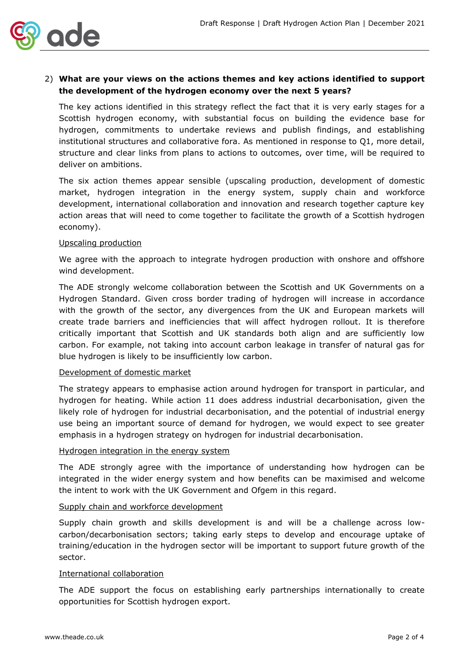

## 2) **What are your views on the actions themes and key actions identified to support the development of the hydrogen economy over the next 5 years?**

The key actions identified in this strategy reflect the fact that it is very early stages for a Scottish hydrogen economy, with substantial focus on building the evidence base for hydrogen, commitments to undertake reviews and publish findings, and establishing institutional structures and collaborative fora. As mentioned in response to Q1, more detail, structure and clear links from plans to actions to outcomes, over time, will be required to deliver on ambitions.

The six action themes appear sensible (upscaling production, development of domestic market, hydrogen integration in the energy system, supply chain and workforce development, international collaboration and innovation and research together capture key action areas that will need to come together to facilitate the growth of a Scottish hydrogen economy).

#### Upscaling production

We agree with the approach to integrate hydrogen production with onshore and offshore wind development.

The ADE strongly welcome collaboration between the Scottish and UK Governments on a Hydrogen Standard. Given cross border trading of hydrogen will increase in accordance with the growth of the sector, any divergences from the UK and European markets will create trade barriers and inefficiencies that will affect hydrogen rollout. It is therefore critically important that Scottish and UK standards both align and are sufficiently low carbon. For example, not taking into account carbon leakage in transfer of natural gas for blue hydrogen is likely to be insufficiently low carbon.

#### Development of domestic market

The strategy appears to emphasise action around hydrogen for transport in particular, and hydrogen for heating. While action 11 does address industrial decarbonisation, given the likely role of hydrogen for industrial decarbonisation, and the potential of industrial energy use being an important source of demand for hydrogen, we would expect to see greater emphasis in a hydrogen strategy on hydrogen for industrial decarbonisation.

#### Hydrogen integration in the energy system

The ADE strongly agree with the importance of understanding how hydrogen can be integrated in the wider energy system and how benefits can be maximised and welcome the intent to work with the UK Government and Ofgem in this regard.

#### Supply chain and workforce development

Supply chain growth and skills development is and will be a challenge across lowcarbon/decarbonisation sectors; taking early steps to develop and encourage uptake of training/education in the hydrogen sector will be important to support future growth of the sector.

#### International collaboration

The ADE support the focus on establishing early partnerships internationally to create opportunities for Scottish hydrogen export.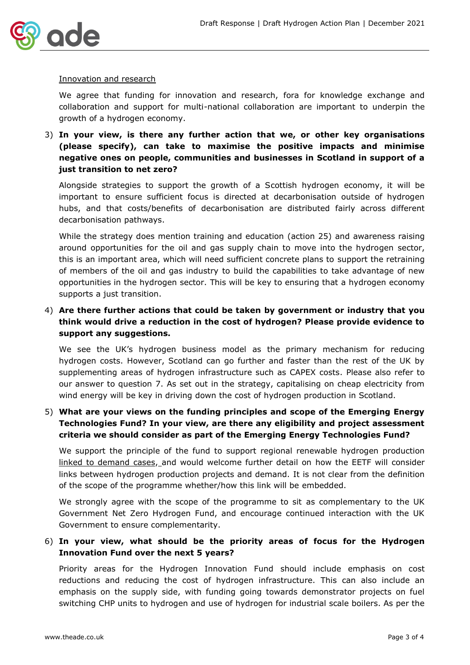

#### Innovation and research

We agree that funding for innovation and research, fora for knowledge exchange and collaboration and support for multi-national collaboration are important to underpin the growth of a hydrogen economy.

3) **In your view, is there any further action that we, or other key organisations (please specify), can take to maximise the positive impacts and minimise negative ones on people, communities and businesses in Scotland in support of a just transition to net zero?**

Alongside strategies to support the growth of a Scottish hydrogen economy, it will be important to ensure sufficient focus is directed at decarbonisation outside of hydrogen hubs, and that costs/benefits of decarbonisation are distributed fairly across different decarbonisation pathways.

While the strategy does mention training and education (action 25) and awareness raising around opportunities for the oil and gas supply chain to move into the hydrogen sector, this is an important area, which will need sufficient concrete plans to support the retraining of members of the oil and gas industry to build the capabilities to take advantage of new opportunities in the hydrogen sector. This will be key to ensuring that a hydrogen economy supports a just transition.

# 4) **Are there further actions that could be taken by government or industry that you think would drive a reduction in the cost of hydrogen? Please provide evidence to support any suggestions.**

We see the UK's hydrogen business model as the primary mechanism for reducing hydrogen costs. However, Scotland can go further and faster than the rest of the UK by supplementing areas of hydrogen infrastructure such as CAPEX costs. Please also refer to our answer to question 7. As set out in the strategy, capitalising on cheap electricity from wind energy will be key in driving down the cost of hydrogen production in Scotland.

# 5) **What are your views on the funding principles and scope of the Emerging Energy Technologies Fund? In your view, are there any eligibility and project assessment criteria we should consider as part of the Emerging Energy Technologies Fund?**

We support the principle of the fund to support regional renewable hydrogen production linked to demand cases, and would welcome further detail on how the EETF will consider links between hydrogen production projects and demand. It is not clear from the definition of the scope of the programme whether/how this link will be embedded.

We strongly agree with the scope of the programme to sit as complementary to the UK Government Net Zero Hydrogen Fund, and encourage continued interaction with the UK Government to ensure complementarity.

### 6) **In your view, what should be the priority areas of focus for the Hydrogen Innovation Fund over the next 5 years?**

Priority areas for the Hydrogen Innovation Fund should include emphasis on cost reductions and reducing the cost of hydrogen infrastructure. This can also include an emphasis on the supply side, with funding going towards demonstrator projects on fuel switching CHP units to hydrogen and use of hydrogen for industrial scale boilers. As per the